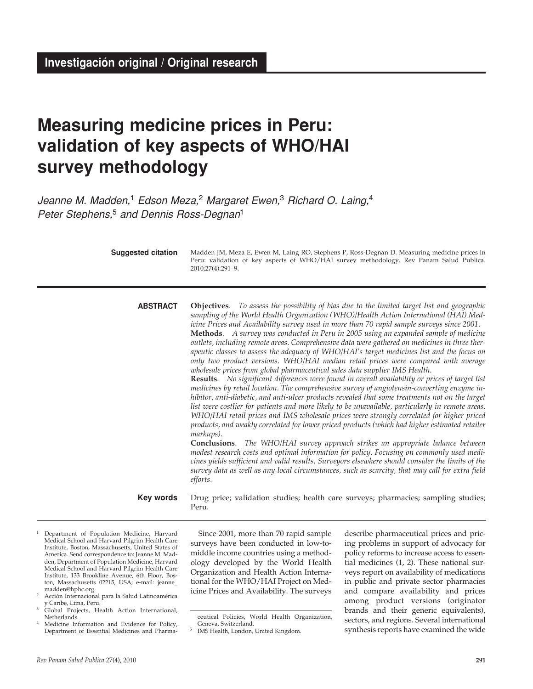# **Measuring medicine prices in Peru: validation of key aspects of WHO/HAI survey methodology**

Jeanne M. Madden,<sup>1</sup> Edson Meza,<sup>2</sup> Margaret Ewen,<sup>3</sup> Richard O. Laing,<sup>4</sup> Peter Stephens,<sup>5</sup> and Dennis Ross-Degnan<sup>1</sup>

**Suggested citation**

Madden JM, Meza E, Ewen M, Laing RO, Stephens P, Ross-Degnan D. Measuring medicine prices in Peru: validation of key aspects of WHO/HAI survey methodology. Rev Panam Salud Publica. 2010;27(4):291–9.

**Objectives**. *To assess the possibility of bias due to the limited target list and geographic sampling of the World Health Organization (WHO)/Health Action International (HAI) Medicine Prices and Availability survey used in more than 70 rapid sample surveys since 2001.* **Methods**. *A survey was conducted in Peru in 2005 using an expanded sample of medicine outlets, including remote areas. Comprehensive data were gathered on medicines in three therapeutic classes to assess the adequacy of WHO/HAI's target medicines list and the focus on only two product versions. WHO/HAI median retail prices were compared with average wholesale prices from global pharmaceutical sales data supplier IMS Health.* **ABSTRACT**

> **Results**. *No significant differences were found in overall availability or prices of target list medicines by retail location. The comprehensive survey of angiotensin-converting enzyme inhibitor, anti-diabetic, and anti-ulcer products revealed that some treatments not on the target list were costlier for patients and more likely to be unavailable, particularly in remote areas. WHO/HAI retail prices and IMS wholesale prices were strongly correlated for higher priced products, and weakly correlated for lower priced products (which had higher estimated retailer markups).*

> **Conclusions**. *The WHO/HAI survey approach strikes an appropriate balance between modest research costs and optimal information for policy. Focusing on commonly used medicines yields sufficient and valid results. Surveyors elsewhere should consider the limits of the survey data as well as any local circumstances, such as scarcity, that may call for extra field efforts.*

Drug price; validation studies; health care surveys; pharmacies; sampling studies; Peru. **Key words**

- 1 Department of Population Medicine, Harvard Medical School and Harvard Pilgrim Health Care Institute, Boston, Massachusetts, United States of America. Send correspondence to: Jeanne M. Madden, Department of Population Medicine, Harvard Medical School and Harvard Pilgrim Health Care Institute, 133 Brookline Avenue, 6th Floor, Boston, Massachusetts 02215, USA; e-mail: jeanne\_ madden@hphc.org
- 2 Acción Internacional para la Salud Latinoamérica y Caribe, Lima, Peru.
- Global Projects, Health Action International, Netherlands.
- Medicine Information and Evidence for Policy, Department of Essential Medicines and Pharma-

Since 2001, more than 70 rapid sample surveys have been conducted in low-tomiddle income countries using a methodology developed by the World Health Organization and Health Action International for the WHO/HAI Project on Medicine Prices and Availability. The surveys

describe pharmaceutical prices and pricing problems in support of advocacy for policy reforms to increase access to essential medicines (1, 2). These national surveys report on availability of medications in public and private sector pharmacies and compare availability and prices among product versions (originator brands and their generic equivalents), sectors, and regions. Several international synthesis reports have examined the wide

ceutical Policies, World Health Organization, Geneva, Switzerland.

<sup>5</sup> IMS Health, London, United Kingdom.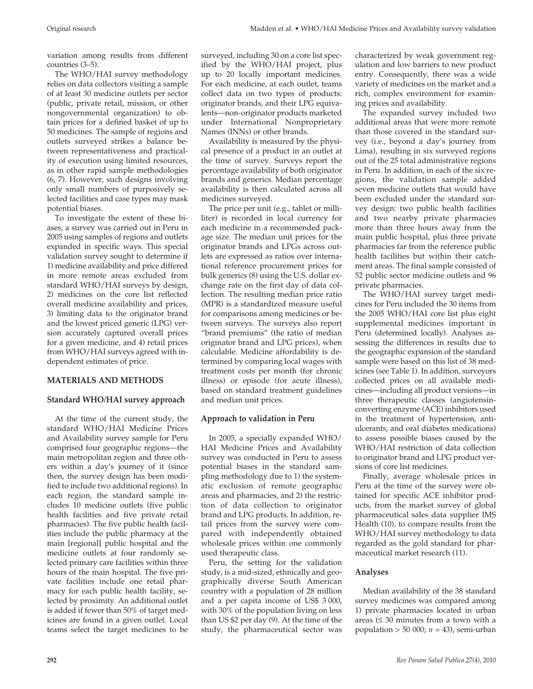variation among results from different countries (3–5).

The WHO/HAI survey methodology relies on data collectors visiting a sample of at least 30 medicine outlets per sector (public, private retail, mission, or other nongovernmental organization) to obtain prices for a defined basket of up to 50 medicines. The sample of regions and outlets surveyed strikes a balance between representativeness and practicality of execution using limited resources, as in other rapid sample methodologies (6, 7). However, such designs involving only small numbers of purposively selected facilities and case types may mask potential biases.

To investigate the extent of these biases, a survey was carried out in Peru in 2005 using samples of regions and outlets expanded in specific ways. This special validation survey sought to determine if 1) medicine availability and price differed in more remote areas excluded from standard WHO/HAI surveys by design, 2) medicines on the core list reflected overall medicine availability and prices, 3) limiting data to the originator brand and the lowest priced generic (LPG) version accurately captured overall prices for a given medicine, and 4) retail prices from WHO/HAI surveys agreed with independent estimates of price.

# **MATERIALS AND METHODS**

# **Standard WHO/HAI survey approach**

At the time of the current study, the standard WHO/HAI Medicine Prices and Availability survey sample for Peru comprised four geographic regions—the main metropolitan region and three others within a day's journey of it (since then, the survey design has been modified to include two additional regions). In each region, the standard sample includes 10 medicine outlets (five public health facilities and five private retail pharmacies). The five public health facilities include the public pharmacy at the main [regional] public hospital and the medicine outlets at four randomly selected primary care facilities within three hours of the main hospital. The five private facilities include one retail pharmacy for each public health facility, selected by proximity. An additional outlet is added if fewer than 50% of target medicines are found in a given outlet. Local teams select the target medicines to be

surveyed, including 30 on a core list specified by the WHO/HAI project, plus up to 20 locally important medicines. For each medicine, at each outlet, teams collect data on two types of products: originator brands, and their LPG equivalents—non-originator products marketed under International Nonproprietary Names (INNs) or other brands.

Availability is measured by the physical presence of a product in an outlet at the time of survey. Surveys report the percentage availability of both originator brands and generics. Median percentage availability is then calculated across all medicines surveyed.

The price per unit (e.g., tablet or milliliter) is recorded in local currency for each medicine in a recommended package size. The median unit prices for the originator brands and LPGs across outlets are expressed as ratios over international reference procurement prices for bulk generics (8) using the U.S. dollar exchange rate on the first day of data collection. The resulting median price ratio (MPR) is a standardized measure useful for comparisons among medicines or between surveys. The surveys also report "brand premiums" (the ratio of median originator brand and LPG prices), when calculable. Medicine affordability is determined by comparing local wages with treatment costs per month (for chronic illness) or episode (for acute illness), based on standard treatment guidelines and median unit prices.

# **Approach to validation in Peru**

In 2005, a specially expanded WHO/ HAI Medicine Prices and Availability survey was conducted in Peru to assess potential biases in the standard sampling methodology due to 1) the systematic exclusion of remote geographic areas and pharmacies, and 2) the restriction of data collection to originator brand and LPG products. In addition, retail prices from the survey were compared with independently obtained wholesale prices within one commonly used therapeutic class.

Peru, the setting for the validation study, is a mid-sized, ethnically and geographically diverse South American country with a population of 28 million and a per capita income of US\$ 3 000, with 30% of the population living on less than US \$2 per day (9). At the time of the study, the pharmaceutical sector was

characterized by weak government regulation and low barriers to new product entry. Consequently, there was a wide variety of medicines on the market and a rich, complex environment for examining prices and availability.

The expanded survey included two additional areas that were more remote than those covered in the standard survey (i.e., beyond a day's journey from Lima), resulting in six surveyed regions out of the 25 total administrative regions in Peru. In addition, in each of the six regions, the validation sample added seven medicine outlets that would have been excluded under the standard survey design: two public health facilities and two nearby private pharmacies more than three hours away from the main public hospital, plus three private pharmacies far from the reference public health facilities but within their catchment areas. The final sample consisted of 52 public sector medicine outlets and 96 private pharmacies.

The WHO/HAI survey target medicines for Peru included the 30 items from the 2005 WHO/HAI core list plus eight supplemental medicines important in Peru (determined locally). Analyses assessing the differences in results due to the geographic expansion of the standard sample were based on this list of 38 medicines (see Table 1). In addition, surveyors collected prices on all available medicines—including all product versions—in three therapeutic classes (angiotensinconverting enzyme (ACE) inhibitors used in the treatment of hypertension, antiulcerants, and oral diabetes medications) to assess possible biases caused by the WHO/HAI restriction of data collection to originator brand and LPG product versions of core list medicines.

Finally, average wholesale prices in Peru at the time of the survey were obtained for specific ACE inhibitor products, from the market survey of global pharmaceutical sales data supplier IMS Health (10), to compare results from the WHO/HAI survey methodology to data regarded as the gold standard for pharmaceutical market research (11).

# **Analyses**

Median availability of the 38 standard survey medicines was compared among 1) private pharmacies located in urban areas  $(≤ 30$  minutes from a town with a population > 50 000; *n* = 43), semi-urban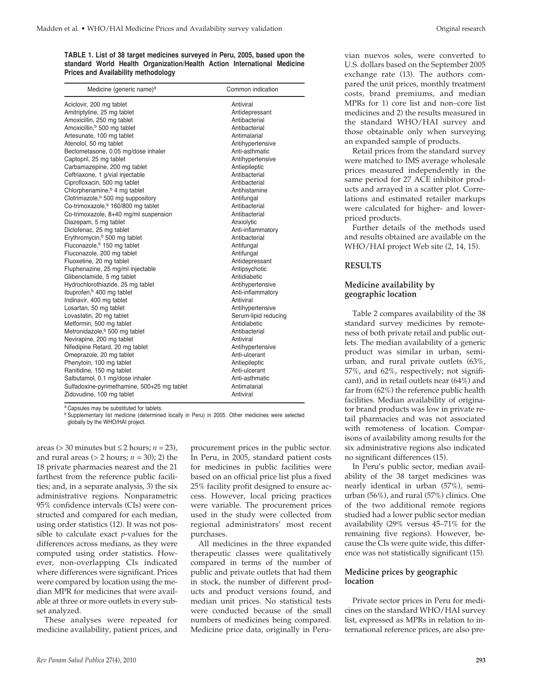**TABLE 1. List of 38 target medicines surveyed in Peru, 2005, based upon the standard World Health Organization/Health Action International Medicine Prices and Availability methodology** 

| Medicine (generic name) <sup>a</sup>           | Common indication    |
|------------------------------------------------|----------------------|
| Aciclovir, 200 mg tablet                       | Antiviral            |
| Amitriptyline, 25 mg tablet                    | Antidepressant       |
| Amoxicillin, 250 mg tablet                     | Antibacterial        |
| Amoxicillin, <sup>b</sup> 500 mg tablet        | Antibacterial        |
| Artesunate, 100 mg tablet                      | Antimalarial         |
| Atenolol, 50 mg tablet                         | Antihypertensive     |
| Beclometasone, 0.05 mg/dose inhaler            | Anti-asthmatic       |
| Captopril, 25 mg tablet                        | Antihypertensive     |
| Carbamazepine, 200 mg tablet                   | Antiepileptic        |
| Ceftriaxone, 1 g/vial injectable               | Antibacterial        |
| Ciprofloxacin, 500 mg tablet                   | Antibacterial        |
| Chlorphenamine, <sup>b</sup> 4 mg tablet       | Antihistamine        |
| Clotrimazole, <sup>b</sup> 500 mg suppository  | Antifungal           |
| Co-trimoxazole, <sup>b</sup> 160/800 mg tablet | Antibacterial        |
| Co-trimoxazole, 8+40 mg/ml suspension          | Antibacterial        |
| Diazepam, 5 mg tablet                          | Anxiolytic           |
| Diclofenac, 25 mg tablet                       | Anti-inflammatory    |
| Erythromycin, <sup>b</sup> 500 mg tablet       | Antibacterial        |
| Fluconazole, <sup>b</sup> 150 mg tablet        | Antifungal           |
| Fluconazole, 200 mg tablet                     | Antifungal           |
| Fluoxetine, 20 mg tablet                       | Antidepressant       |
| Fluphenazine, 25 mg/ml injectable              | Antipsychotic        |
| Glibenclamide, 5 mg tablet                     | Antidiabetic         |
| Hydrochlorothiazide, 25 mg tablet              | Antihypertensive     |
| Ibuprofen, <sup>b</sup> 400 mg tablet          | Anti-inflammatory    |
| Indinavir, 400 mg tablet                       | Antiviral            |
| Losartan, 50 mg tablet                         | Antihypertensive     |
| Lovastatin, 20 mg tablet                       | Serum-lipid reducing |
| Metformin, 500 mg tablet                       | Antidiabetic         |
| Metronidazole, <sup>b</sup> 500 mg tablet      | Antibacterial        |
| Nevirapine, 200 mg tablet                      | Antiviral            |
| Nifedipine Retard, 20 mg tablet                | Antihypertensive     |
| Omeprazole, 20 mg tablet                       | Anti-ulcerant        |
| Phenytoin, 100 mg tablet                       | Antiepileptic        |
| Ranitidine, 150 mg tablet                      | Anti-ulcerant        |
| Salbutamol, 0.1 mg/dose inhaler                | Anti-asthmatic       |
| Sulfadoxine-pyrimethamine, 500+25 mg tablet    | Antimalarial         |
| Zidovudine, 100 mg tablet                      | Antiviral            |
|                                                |                      |

a Capsules may be substituted for tablets.

b Supplementary list medicine (determined locally in Peru) in 2005. Other medicines were selected globally by the WHO/HAI project.

areas (> 30 minutes but ≤ 2 hours; *n* = 23), and rural areas ( $> 2$  hours;  $n = 30$ ); 2) the 18 private pharmacies nearest and the 21 farthest from the reference public facilities; and, in a separate analysis, 3) the six administrative regions. Nonparametric 95% confidence intervals (CIs) were constructed and compared for each median, using order statistics (12). It was not possible to calculate exact *p*-values for the differences across medians, as they were computed using order statistics. However, non-overlapping CIs indicated where differences were significant. Prices were compared by location using the median MPR for medicines that were available at three or more outlets in every subset analyzed.

These analyses were repeated for medicine availability, patient prices, and

procurement prices in the public sector. In Peru, in 2005, standard patient costs for medicines in public facilities were based on an official price list plus a fixed 25% facility profit designed to ensure access. However, local pricing practices were variable. The procurement prices used in the study were collected from regional administrators' most recent purchases.

All medicines in the three expanded therapeutic classes were qualitatively compared in terms of the number of public and private outlets that had them in stock, the number of different products and product versions found, and median unit prices. No statistical tests were conducted because of the small numbers of medicines being compared. Medicine price data, originally in Peruvian nuevos soles, were converted to U.S. dollars based on the September 2005 exchange rate (13). The authors compared the unit prices, monthly treatment costs, brand premiums, and median MPRs for 1) core list and non–core list medicines and 2) the results measured in the standard WHO/HAI survey and those obtainable only when surveying an expanded sample of products.

Retail prices from the standard survey were matched to IMS average wholesale prices measured independently in the same period for 27 ACE inhibitor products and arrayed in a scatter plot. Correlations and estimated retailer markups were calculated for higher- and lowerpriced products.

Further details of the methods used and results obtained are available on the WHO/HAI project Web site (2, 14, 15).

#### **RESULTS**

# **Medicine availability by geographic location**

Table 2 compares availability of the 38 standard survey medicines by remoteness of both private retail and public outlets. The median availability of a generic product was similar in urban, semiurban, and rural private outlets (63%, 57%, and 62%, respectively; not significant), and in retail outlets near (64%) and far from (62%) the reference public health facilities. Median availability of originator brand products was low in private retail pharmacies and was not associated with remoteness of location. Comparisons of availability among results for the six administrative regions also indicated no significant differences (15).

In Peru's public sector, median availability of the 38 target medicines was nearly identical in urban (57%), semiurban (56%), and rural (57%) clinics. One of the two additional remote regions studied had a lower public sector median availability (29% versus 45–71% for the remaining five regions). However, because the CIs were quite wide, this difference was not statistically significant (15).

#### **Medicine prices by geographic location**

Private sector prices in Peru for medicines on the standard WHO/HAI survey list, expressed as MPRs in relation to international reference prices, are also pre-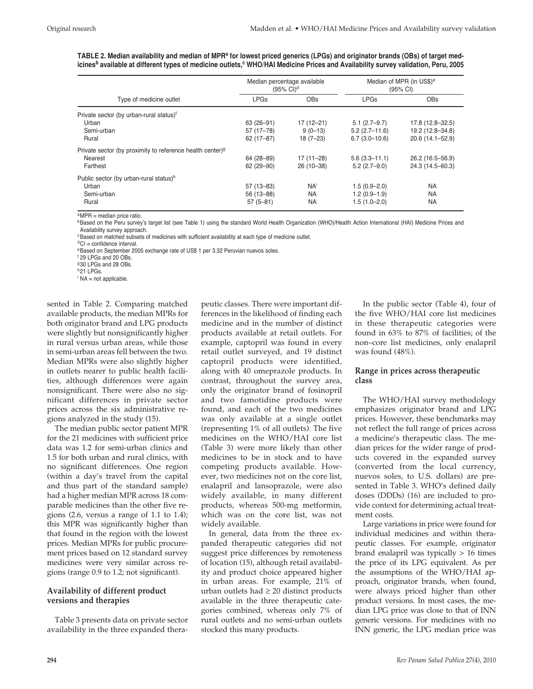| TABLE 2. Median availability and median of MPRª for lowest priced generics (LPGs) and originator brands (OBs) of target med-                              |  |  |  |  |
|-----------------------------------------------------------------------------------------------------------------------------------------------------------|--|--|--|--|
| icines <sup>b</sup> available at different types of medicine outlets, <sup>c</sup> WHO/HAI Medicine Prices and Availability survey validation, Peru, 2005 |  |  |  |  |

|                                                                       |               | Median percentage available<br>$(95% \text{ Cl})^d$ | Median of MPR (in US\$) <sup>e</sup><br>(95% CI) |                  |  |
|-----------------------------------------------------------------------|---------------|-----------------------------------------------------|--------------------------------------------------|------------------|--|
| Type of medicine outlet                                               | <b>LPGs</b>   | <b>OBs</b>                                          | <b>LPGs</b>                                      | <b>OBs</b>       |  |
| Private sector (by urban-rural status) <sup>f</sup>                   |               |                                                     |                                                  |                  |  |
| Urban                                                                 | $63(26-91)$   | $17(12 - 21)$                                       | $5.1(2.7-9.7)$                                   | 17.8 (12.8-32.5) |  |
| Semi-urban                                                            | 57 (17-78)    | $9(0-13)$                                           | $5.2(2.7-11.6)$                                  | 19.2 (12.8-34.8) |  |
| Rural                                                                 | 62 (17-87)    | $18(7-23)$                                          | $6.7(3.0-10.6)$                                  | 20.6 (14.1-52.9) |  |
| Private sector (by proximity to reference health center) <sup>9</sup> |               |                                                     |                                                  |                  |  |
| Nearest                                                               | 64 (28-89)    | $17(11 - 28)$                                       | $5.6(3.3 - 11.1)$                                | 26.2 (16.5-56.9) |  |
| Farthest                                                              | $62(29-90)$   | $26(10-38)$                                         | $5.2(2.7-9.0)$                                   | 24.3 (14.5-60.3) |  |
| Public sector (by urban-rural status) <sup>h</sup>                    |               |                                                     |                                                  |                  |  |
| Urban                                                                 | $57(13 - 83)$ | <b>NA</b> <sup>i</sup>                              | $1.5(0.9 - 2.0)$                                 | <b>NA</b>        |  |
| Semi-urban                                                            | 56 (13-88)    | <b>NA</b>                                           | $1.2(0.9-1.9)$                                   | <b>NA</b>        |  |
| Rural                                                                 | $57(5-81)$    | NA                                                  | $1.5(1.0 - 2.0)$                                 | <b>NA</b>        |  |

aMPR = median price ratio.

**bBased on the Peru survey's target list (see Table 1) using the standard World Health Organization (WHO)/Health Action International (HAI) Medicine Prices and** Availability survey approach.

<sup>c</sup>Based on matched subsets of medicines with sufficient availability at each type of medicine outlet.

<sup>d</sup>CI = confidence interval.

<sup>e</sup>Based on September 2005 exchange rate of US\$ 1 per 3.32 Peruvian nuevos soles.

<sup>f</sup> 29 LPGs and 20 OBs.

930 LPGs and 28 OBs.

<sup>h</sup> 21 LPGs.

 $i$  NA = not applicable.

sented in Table 2. Comparing matched available products, the median MPRs for both originator brand and LPG products were slightly but nonsignificantly higher in rural versus urban areas, while those in semi-urban areas fell between the two. Median MPRs were also slightly higher in outlets nearer to public health facilities, although differences were again nonsignificant. There were also no significant differences in private sector prices across the six administrative regions analyzed in the study (15).

The median public sector patient MPR for the 21 medicines with sufficient price data was 1.2 for semi-urban clinics and 1.5 for both urban and rural clinics, with no significant differences. One region (within a day's travel from the capital and thus part of the standard sample) had a higher median MPR across 18 comparable medicines than the other five regions (2.6, versus a range of 1.1 to 1.4); this MPR was significantly higher than that found in the region with the lowest prices. Median MPRs for public procurement prices based on 12 standard survey medicines were very similar across regions (range 0.9 to 1.2; not significant).

# **Availability of different product versions and therapies**

Table 3 presents data on private sector availability in the three expanded thera-

peutic classes. There were important differences in the likelihood of finding each medicine and in the number of distinct products available at retail outlets. For example, captopril was found in every retail outlet surveyed, and 19 distinct captopril products were identified, along with 40 omeprazole products. In contrast, throughout the survey area, only the originator brand of fosinopril and two famotidine products were found, and each of the two medicines was only available at a single outlet (representing 1% of all outlets). The five medicines on the WHO/HAI core list (Table 3) were more likely than other medicines to be in stock and to have competing products available. However, two medicines not on the core list, enalapril and lansoprazole, were also widely available, in many different products, whereas 500-mg metformin, which was on the core list, was not widely available.

In general, data from the three expanded therapeutic categories did not suggest price differences by remoteness of location (15), although retail availability and product choice appeared higher in urban areas. For example, 21% of urban outlets had  $\geq 20$  distinct products available in the three therapeutic categories combined, whereas only 7% of rural outlets and no semi-urban outlets stocked this many products.

In the public sector (Table 4), four of the five WHO/HAI core list medicines in these therapeutic categories were found in 63% to 87% of facilities; of the non–core list medicines, only enalapril was found (48%).

#### **Range in prices across therapeutic class**

The WHO/HAI survey methodology emphasizes originator brand and LPG prices. However, these benchmarks may not reflect the full range of prices across a medicine's therapeutic class. The median prices for the wider range of products covered in the expanded survey (converted from the local currency, nuevos soles, to U.S. dollars) are presented in Table 3. WHO's defined daily doses (DDDs) (16) are included to provide context for determining actual treatment costs.

Large variations in price were found for individual medicines and within therapeutic classes. For example, originator brand enalapril was typically > 16 times the price of its LPG equivalent. As per the assumptions of the WHO/HAI approach, originator brands, when found, were always priced higher than other product versions. In most cases, the median LPG price was close to that of INN generic versions. For medicines with no INN generic, the LPG median price was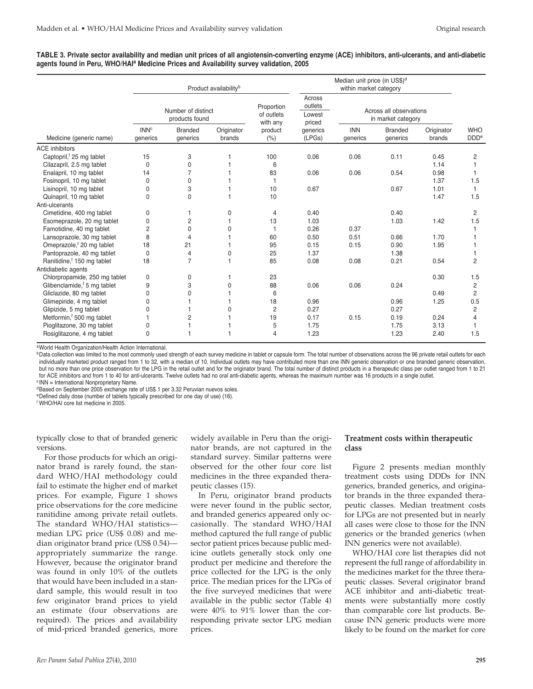| TABLE 3. Private sector availability and median unit prices of all angiotensin-converting enzyme (ACE) inhibitors, anti-ulcerants, and anti-diabetic |  |
|------------------------------------------------------------------------------------------------------------------------------------------------------|--|
| agents found in Peru, WHO/HAIª Medicine Prices and Availability survey validation, 2005                                                              |  |

|                                         | Product availability <sup>b</sup>    |                            |                                      | Median unit price (in US\$) <sup>d</sup><br>within market category |                                               |                        |                            |                      |                                |
|-----------------------------------------|--------------------------------------|----------------------------|--------------------------------------|--------------------------------------------------------------------|-----------------------------------------------|------------------------|----------------------------|----------------------|--------------------------------|
|                                         | Number of distinct<br>products found |                            | Proportion<br>of outlets<br>with any | Across<br>outlets<br>Lowest<br>priced                              | Across all observations<br>in market category |                        |                            |                      |                                |
| Medicine (generic name)                 | <b>INN<sup>c</sup></b><br>generics   | <b>Branded</b><br>generics | Originator<br>brands                 | product<br>(% )                                                    | generics<br>(LPGs)                            | <b>INN</b><br>generics | <b>Branded</b><br>generics | Originator<br>brands | <b>WHO</b><br>DDD <sup>e</sup> |
| <b>ACE</b> inhibitors                   |                                      |                            |                                      |                                                                    |                                               |                        |                            |                      |                                |
| Captopril, <sup>f</sup> 25 mg tablet    | 15                                   | 3                          |                                      | 100                                                                | 0.06                                          | 0.06                   | 0.11                       | 0.45                 | 2                              |
| Cilazapril, 2.5 mg tablet               | 0                                    | 0                          |                                      | 6                                                                  |                                               |                        |                            | 1.14                 |                                |
| Enalapril, 10 mg tablet                 | 14                                   | 7                          |                                      | 83                                                                 | 0.06                                          | 0.06                   | 0.54                       | 0.98                 |                                |
| Fosinopril, 10 mg tablet                | $\mathbf{0}$                         | 0                          |                                      |                                                                    |                                               |                        |                            | 1.37                 | 1.5                            |
| Lisinopril, 10 mg tablet                | $\Omega$                             | 3                          |                                      | 10                                                                 | 0.67                                          |                        | 0.67                       | 1.01                 | 1                              |
| Quinapril, 10 mg tablet                 | $\Omega$                             | $\mathbf{0}$               |                                      | 10                                                                 |                                               |                        |                            | 1.47                 | 1.5                            |
| Anti-ulcerants                          |                                      |                            |                                      |                                                                    |                                               |                        |                            |                      |                                |
| Cimetidine, 400 mg tablet               | 0                                    |                            | 0                                    | 4                                                                  | 0.40                                          |                        | 0.40                       |                      | $\overline{2}$                 |
| Esomeprazole, 20 mg tablet              | $\Omega$                             | 2                          |                                      | 13                                                                 | 1.03                                          |                        | 1.03                       | 1.42                 | 1.5                            |
| Famotidine, 40 mg tablet                | 2                                    | $\mathbf{0}$               | $\Omega$                             |                                                                    | 0.26                                          | 0.37                   |                            |                      |                                |
| Lansoprazole, 30 mg tablet              | 8                                    | 4                          |                                      | 60                                                                 | 0.50                                          | 0.51                   | 0.66                       | 1.70                 |                                |
| Omeprazole, <sup>f</sup> 20 mg tablet   | 18                                   | 21                         |                                      | 95                                                                 | 0.15                                          | 0.15                   | 0.90                       | 1.95                 |                                |
| Pantoprazole, 40 mg tablet              | 0                                    | 4                          | $\Omega$                             | 25                                                                 | 1.37                                          |                        | 1.38                       |                      |                                |
| Ranitidine, <sup>f</sup> 150 mg tablet  | 18                                   | $\overline{7}$             |                                      | 85                                                                 | 0.08                                          | 0.08                   | 0.21                       | 0.54                 | $\overline{2}$                 |
| Antidiabetic agents                     |                                      |                            |                                      |                                                                    |                                               |                        |                            |                      |                                |
| Chlorpropamide, 250 mg tablet           | 0                                    | 0                          |                                      | 23                                                                 |                                               |                        |                            | 0.30                 | 1.5                            |
| Glibenclamide, <sup>f</sup> 5 mg tablet | 9                                    | 3                          | 0                                    | 88                                                                 | 0.06                                          | 0.06                   | 0.24                       |                      | $\overline{2}$                 |
| Gliclazide, 80 mg tablet                | $\mathbf{0}$                         | U                          |                                      | 6                                                                  |                                               |                        |                            | 0.49                 | $\overline{2}$                 |
| Glimepiride, 4 mg tablet                | $\Omega$                             |                            |                                      | 18                                                                 | 0.96                                          |                        | 0.96                       | 1.25                 | 0.5                            |
| Glipizide, 5 mg tablet                  | 0                                    |                            | $\Omega$                             | $\overline{2}$                                                     | 0.27                                          |                        | 0.27                       |                      | $\overline{2}$                 |
| Metformin, <sup>f</sup> 500 mg tablet   |                                      | 2                          |                                      | 19                                                                 | 0.17                                          | 0.15                   | 0.19                       | 0.24                 | 4                              |
| Pioglitazone, 30 mg tablet              | 0                                    |                            |                                      | 5                                                                  | 1.75                                          |                        | 1.75                       | 3.13                 |                                |
| Rosiglitazone, 4 mg tablet              | $\Omega$                             |                            |                                      | 4                                                                  | 1.23                                          |                        | 1.23                       | 2.40                 | 1.5                            |

aWorld Health Organization/Health Action International.

bData collection was limited to the most commonly used strength of each survey medicine in tablet or capsule form. The total number of observations across the 96 private retail outlets for each individually marketed product ranged from 1 to 32, with a median of 10. Individual outlets may have contributed more than one INN generic observation or one branded generic observation, but no more than one price observation for the LPG in the retail outlet and for the originator brand. The total number of distinct products in a therapeutic class per outlet ranged from 1 to 21 for ACE inhibitors and from 1 to 40 for anti-ulcerants. Twelve outlets had no oral anti-diabetic agents, whereas the maximum number was 16 products in a single outlet.

<sup>c</sup> INN = International Nonproprietary Name.

<sup>d</sup>Based on September 2005 exchange rate of US\$ 1 per 3.32 Peruvian nuevos soles.

eDefined daily dose (number of tablets typically prescribed for one day of use) (16).

<sup>f</sup> WHO/HAI core list medicine in 2005.

typically close to that of branded generic versions.

For those products for which an originator brand is rarely found, the standard WHO/HAI methodology could fail to estimate the higher end of market prices. For example, Figure 1 shows price observations for the core medicine ranitidine among private retail outlets. The standard WHO/HAI statistics median LPG price (US\$ 0.08) and median originator brand price (US\$ 0.54) appropriately summarize the range. However, because the originator brand was found in only 10% of the outlets that would have been included in a standard sample, this would result in too few originator brand prices to yield an estimate (four observations are required). The prices and availability of mid-priced branded generics, more

widely available in Peru than the originator brands, are not captured in the standard survey. Similar patterns were observed for the other four core list medicines in the three expanded therapeutic classes (15).

In Peru, originator brand products were never found in the public sector, and branded generics appeared only occasionally. The standard WHO/HAI method captured the full range of public sector patient prices because public medicine outlets generally stock only one product per medicine and therefore the price collected for the LPG is the only price. The median prices for the LPGs of the five surveyed medicines that were available in the public sector (Table 4) were 40% to 91% lower than the corresponding private sector LPG median prices.

# **Treatment costs within therapeutic class**

Figure 2 presents median monthly treatment costs using DDDs for INN generics, branded generics, and originator brands in the three expanded therapeutic classes. Median treatment costs for LPGs are not presented but in nearly all cases were close to those for the INN generics or the branded generics (when INN generics were not available).

WHO/HAI core list therapies did not represent the full range of affordability in the medicines market for the three therapeutic classes. Several originator brand ACE inhibitor and anti-diabetic treatments were substantially more costly than comparable core list products. Because INN generic products were more likely to be found on the market for core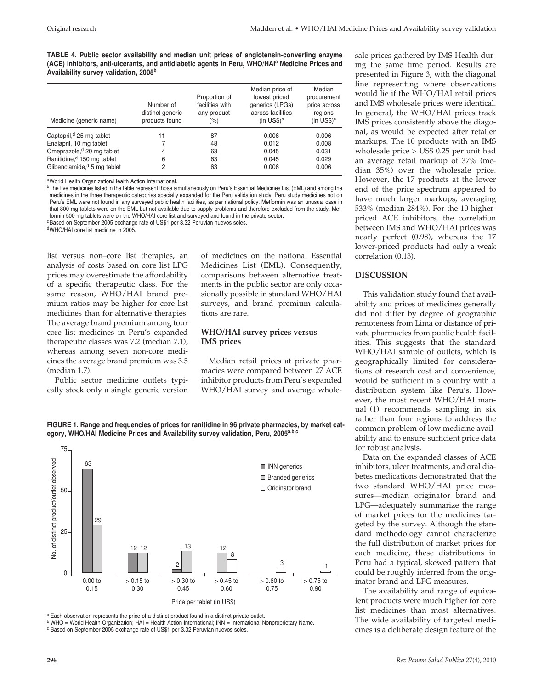**TABLE 4. Public sector availability and median unit prices of angiotensin-converting enzyme (ACE) inhibitors, anti-ulcerants, and antidiabetic agents in Peru, WHO/HAIa Medicine Prices and Availability survey validation, 2005b**

| Medicine (generic name)                 | Number of<br>distinct generic<br>products found | Proportion of<br>facilities with<br>any product<br>(%) | Median price of<br>lowest priced<br>generics (LPGs)<br>across facilities<br>(in $US$$ ) <sup>c</sup> | Median<br>procurement<br>price across<br>regions<br>(in $US$$ ) <sup>c</sup> |
|-----------------------------------------|-------------------------------------------------|--------------------------------------------------------|------------------------------------------------------------------------------------------------------|------------------------------------------------------------------------------|
| Captopril, <sup>d</sup> 25 mg tablet    | 11                                              | 87                                                     | 0.006                                                                                                | 0.006                                                                        |
| Enalapril, 10 mg tablet                 |                                                 | 48                                                     | 0.012                                                                                                | 0.008                                                                        |
| Omeprazole, <sup>d</sup> 20 mg tablet   | 4                                               | 63                                                     | 0.045                                                                                                | 0.031                                                                        |
| Ranitidine, <sup>d</sup> 150 mg tablet  | 6                                               | 63                                                     | 0.045                                                                                                | 0.029                                                                        |
| Glibenclamide, <sup>d</sup> 5 mg tablet | 2                                               | 63                                                     | 0.006                                                                                                | 0.006                                                                        |

aWorld Health Organization/Health Action International.

<sup>b</sup>The five medicines listed in the table represent those simultaneously on Peru's Essential Medicines List (EML) and among the medicines in the three therapeutic categories specially expanded for the Peru validation study. Peru study medicines not on Peru's EML were not found in any surveyed public health facilities, as per national policy. Metformin was an unusual case in that 800 mg tablets were on the EML but not available due to supply problems and therefore excluded from the study. Metformin 500 mg tablets were on the WHO/HAI core list and surveyed and found in the private sector.

<sup>c</sup>Based on September 2005 exchange rate of US\$1 per 3.32 Peruvian nuevos soles.

dWHO/HAI core list medicine in 2005.

list versus non–core list therapies, an analysis of costs based on core list LPG prices may overestimate the affordability of a specific therapeutic class. For the same reason, WHO/HAI brand premium ratios may be higher for core list medicines than for alternative therapies. The average brand premium among four core list medicines in Peru's expanded therapeutic classes was 7.2 (median 7.1), whereas among seven non-core medicines the average brand premium was 3.5 (median 1.7).

Public sector medicine outlets typically stock only a single generic version of medicines on the national Essential Medicines List (EML). Consequently, comparisons between alternative treatments in the public sector are only occasionally possible in standard WHO/HAI surveys, and brand premium calculations are rare.

#### **WHO/HAI survey prices versus IMS prices**

Median retail prices at private pharmacies were compared between 27 ACE inhibitor products from Peru's expanded WHO/HAI survey and average whole-

**FIGURE 1. Range and frequencies of prices for ranitidine in 96 private pharmacies, by market category, WHO/HAI Medicine Prices and Availability survey validation, Peru, 2005a,b,c**



a Each observation represents the price of a distinct product found in a distinct private outlet.

<sup>b</sup> WHO = World Health Organization; HAI = Health Action International; INN = International Nonproprietary Name.

<sup>c</sup> Based on September 2005 exchange rate of US\$1 per 3.32 Peruvian nuevos soles.

sale prices gathered by IMS Health during the same time period. Results are presented in Figure 3, with the diagonal line representing where observations would lie if the WHO/HAI retail prices and IMS wholesale prices were identical. In general, the WHO/HAI prices track IMS prices consistently above the diagonal, as would be expected after retailer markups. The 10 products with an IMS wholesale price > US\$ 0.25 per unit had an average retail markup of 37% (median 35%) over the wholesale price. However, the 17 products at the lower end of the price spectrum appeared to have much larger markups, averaging 533% (median 284%). For the 10 higherpriced ACE inhibitors, the correlation between IMS and WHO/HAI prices was nearly perfect (0.98), whereas the 17 lower-priced products had only a weak correlation (0.13).

#### **DISCUSSION**

This validation study found that availability and prices of medicines generally did not differ by degree of geographic remoteness from Lima or distance of private pharmacies from public health facilities. This suggests that the standard WHO/HAI sample of outlets, which is geographically limited for considerations of research cost and convenience, would be sufficient in a country with a distribution system like Peru's. However, the most recent WHO/HAI manual (1) recommends sampling in six rather than four regions to address the common problem of low medicine availability and to ensure sufficient price data for robust analysis.

Data on the expanded classes of ACE inhibitors, ulcer treatments, and oral diabetes medications demonstrated that the two standard WHO/HAI price measures—median originator brand and LPG—adequately summarize the range of market prices for the medicines targeted by the survey. Although the standard methodology cannot characterize the full distribution of market prices for each medicine, these distributions in Peru had a typical, skewed pattern that could be roughly inferred from the originator brand and LPG measures.

The availability and range of equivalent products were much higher for core list medicines than most alternatives. The wide availability of targeted medicines is a deliberate design feature of the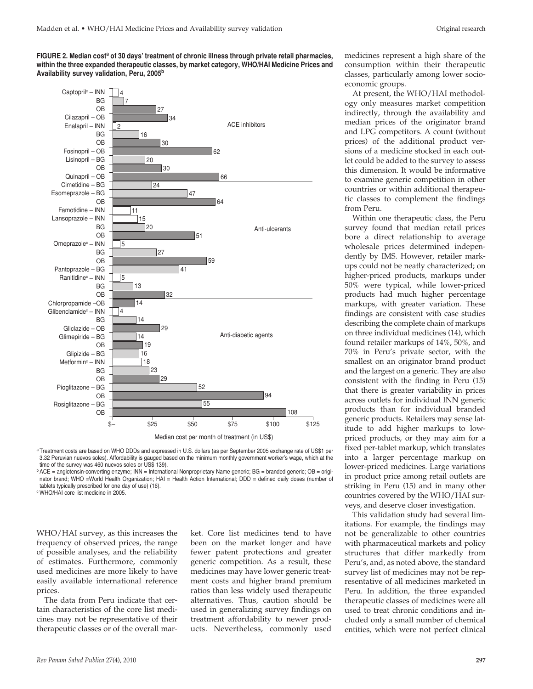**FIGURE 2. Median costa of 30 days' treatment of chronic illness through private retail pharmacies, within the three expanded therapeutic classes, by market category, WHO/HAI Medicine Prices and Availability survey validation, Peru, 2005b** 



<sup>a</sup> Treatment costs are based on WHO DDDs and expressed in U.S. dollars (as per September 2005 exchange rate of US\$1 per 3.32 Peruvian nuevos soles). Affordability is gauged based on the minimum monthly government worker's wage, which at the time of the survey was 460 nuevos soles or US\$ 139).

<sup>b</sup> ACE = angiotensin-converting enzyme; INN = International Nonproprietary Name generic; BG = branded generic; OB = originator brand; WHO =World Health Organization; HAI = Health Action International; DDD = defined daily doses (number of tablets typically prescribed for one day of use) (16).

<sup>c</sup> WHO/HAI core list medicine in 2005.

WHO/HAI survey, as this increases the frequency of observed prices, the range of possible analyses, and the reliability of estimates. Furthermore, commonly used medicines are more likely to have easily available international reference prices.

The data from Peru indicate that certain characteristics of the core list medicines may not be representative of their therapeutic classes or of the overall market. Core list medicines tend to have been on the market longer and have fewer patent protections and greater generic competition. As a result, these medicines may have lower generic treatment costs and higher brand premium ratios than less widely used therapeutic alternatives. Thus, caution should be used in generalizing survey findings on treatment affordability to newer products. Nevertheless, commonly used

medicines represent a high share of the consumption within their therapeutic classes, particularly among lower socioeconomic groups.

At present, the WHO/HAI methodology only measures market competition indirectly, through the availability and median prices of the originator brand and LPG competitors. A count (without prices) of the additional product versions of a medicine stocked in each outlet could be added to the survey to assess this dimension. It would be informative to examine generic competition in other countries or within additional therapeutic classes to complement the findings from Peru.

Within one therapeutic class, the Peru survey found that median retail prices bore a direct relationship to average wholesale prices determined independently by IMS. However, retailer markups could not be neatly characterized; on higher-priced products, markups under 50% were typical, while lower-priced products had much higher percentage markups, with greater variation. These findings are consistent with case studies describing the complete chain of markups on three individual medicines (14), which found retailer markups of 14%, 50%, and 70% in Peru's private sector, with the smallest on an originator brand product and the largest on a generic. They are also consistent with the finding in Peru (15) that there is greater variability in prices across outlets for individual INN generic products than for individual branded generic products. Retailers may sense latitude to add higher markups to lowpriced products, or they may aim for a fixed per-tablet markup, which translates into a larger percentage markup on lower-priced medicines. Large variations in product price among retail outlets are striking in Peru (15) and in many other countries covered by the WHO/HAI surveys, and deserve closer investigation.

This validation study had several limitations. For example, the findings may not be generalizable to other countries with pharmaceutical markets and policy structures that differ markedly from Peru's, and, as noted above, the standard survey list of medicines may not be representative of all medicines marketed in Peru. In addition, the three expanded therapeutic classes of medicines were all used to treat chronic conditions and included only a small number of chemical entities, which were not perfect clinical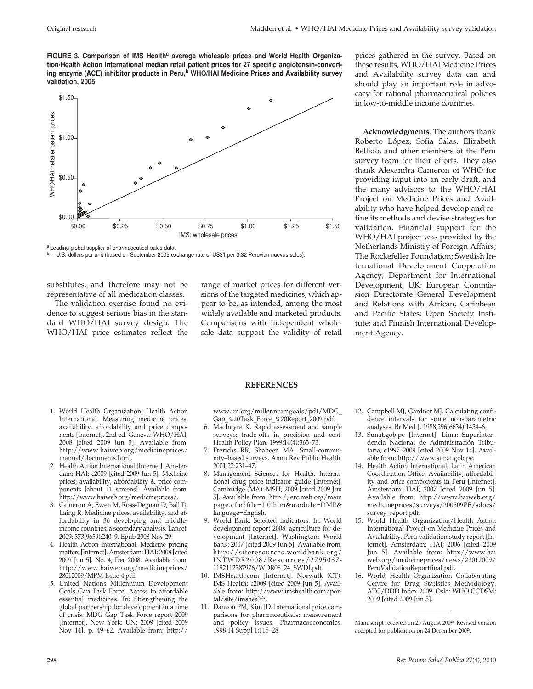FIGURE 3. Comparison of IMS Health<sup>a</sup> average wholesale prices and World Health Organiza**tion/Health Action International median retail patient prices for 27 specific angiotensin-convert**ing enzyme (ACE) inhibitor products in Peru,<sup>b</sup> WHO/HAI Medicine Prices and Availability survey **validation, 2005**



a Leading global supplier of pharmaceutical sales data.

b In U.S. dollars per unit (based on September 2005 exchange rate of US\$1 per 3.32 Peruvian nuevos soles).

substitutes, and therefore may not be representative of all medication classes.

The validation exercise found no evidence to suggest serious bias in the standard WHO/HAI survey design. The WHO/HAI price estimates reflect the

1. World Health Organization; Health Action International. Measuring medicine prices, availability, affordability and price components [Internet]. 2nd ed. Geneva: WHO/HAI; 2008 [cited 2009 Jun 5]. Available from: http://www.haiweb.org/medicineprices/

2. Health Action International [Internet]. Amsterdam: HAI; c2009 [cited 2009 Jun 5]. Medicine prices, availability, affordability & price components [about 11 screens]. Available from: http://www.haiweb.org/medicineprices/. 3. Cameron A, Ewen M, Ross-Degnan D, Ball D, Laing R. Medicine prices, availability, and affordability in 36 developing and middleincome countries: a secondary analysis. Lancet. 2009; 373(9659):240–9. Epub 2008 Nov 29. 4. Health Action International. Medicine pricing matters [Internet]. Amsterdam: HAI; 2008 [cited 2009 Jun 5]. No. 4, Dec 2008. Available from: http://www.haiweb.org/medicineprices/

manual/documents.html.

28012009/MPM-Issue-4.pdf.

5. United Nations Millennium Development Goals Gap Task Force. Access to affordable essential medicines. In: Strengthening the global partnership for development in a time of crisis. MDG Gap Task Force report 2009 [Internet]. New York: UN; 2009 [cited 2009 Nov 14]. p. 49–62. Available from: http://

range of market prices for different versions of the targeted medicines, which appear to be, as intended, among the most widely available and marketed products. Comparisons with independent wholesale data support the validity of retail

prices gathered in the survey. Based on these results, WHO/HAI Medicine Prices and Availability survey data can and should play an important role in advocacy for rational pharmaceutical policies in low-to-middle income countries.

**Acknowledgments**. The authors thank Roberto López, Sofia Salas, Elizabeth Bellido, and other members of the Peru survey team for their efforts. They also thank Alexandra Cameron of WHO for providing input into an early draft, and the many advisors to the WHO/HAI Project on Medicine Prices and Availability who have helped develop and refine its methods and devise strategies for validation. Financial support for the WHO/HAI project was provided by the Netherlands Ministry of Foreign Affairs; The Rockefeller Foundation; Swedish International Development Cooperation Agency; Department for International Development, UK; European Commission Directorate General Development and Relations with African, Caribbean and Pacific States; Open Society Institute; and Finnish International Development Agency.

#### **REFERENCES**

www.un.org/millenniumgoals/pdf/MDG\_ Gap\_%20Task\_Force\_%20Report\_2009.pdf.

- 6. MacIntyre K. Rapid assessment and sample surveys: trade-offs in precision and cost. Health Policy Plan. 1999;14(4):363–73.
- 7. Frerichs RR, Shaheen MA. Small-community–based surveys. Annu Rev Public Health. 2001;22:231–47.
- 8. Management Sciences for Health. International drug price indicator guide [Internet]. Cambridge (MA): MSH; 2009 [cited 2009 Jun 5]. Available from: http://erc.msh.org/main page.cfm?file=1.0.htm&module=DMP& language=English.
- 9. World Bank. Selected indicators. In: World development report 2008: agriculture for development [Internet]. Washington: World Bank; 2007 [cited 2009 Jun 5]. Available from: http://siteresources.worldbank.org/ INTWDR2008/Resources/2795087- 1192112387976/WDR08\_24\_SWDI.pdf.
- 10. IMSHealth.com [Internet]. Norwalk (CT): IMS Health; c2009 [cited 2009 Jun 5]. Available from: http://www.imshealth.com/portal/site/imshealth.
- 11. Danzon PM, Kim JD. International price comparisons for pharmaceuticals: measurement and policy issues. Pharmacoeconomics. 1998;14 Suppl 1;115–28.
- 12. Campbell MJ, Gardner MJ. Calculating confidence intervals for some non-parametric analyses. Br Med J. 1988;296(6634):1454–6.
- 13. Sunat.gob.pe [Internet]. Lima: Superintendencia Nacional de Administración Tributaria; c1997–2009 [cited 2009 Nov 14]. Available from: http://www.sunat.gob.pe.
- 14. Health Action International, Latin American Coordination Office. Availability, affordability and price components in Peru [Internet]. Amsterdam: HAI; 2007 [cited 2009 Jun 5]. Available from: http://www.haiweb.org/ medicineprices/surveys/200509PE/sdocs/ survey\_report.pdf.
- 15. World Health Organization/Health Action International Project on Medicine Prices and Availability. Peru validation study report [Internet]. Amsterdam: HAI; 2006 [cited 2009 Jun 5]. Available from: http://www.hai web.org/medicineprices/news/22012009/ PeruValidationReportfinal.pdf.
- 16. World Health Organization Collaborating Centre for Drug Statistics Methodology. ATC/DDD Index 2009. Oslo: WHO CCDSM; 2009 [cited 2009 Jun 5].

Manuscript received on 25 August 2009. Revised version accepted for publication on 24 December 2009.